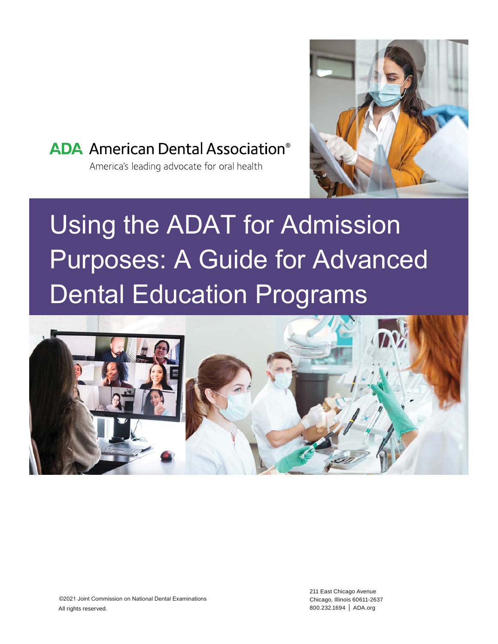

# **ADA** American Dental Association<sup>®</sup>

America's leading advocate for oral health

# Using the ADAT for Admission Purposes: A Guide for Advanced Dental Education Programs

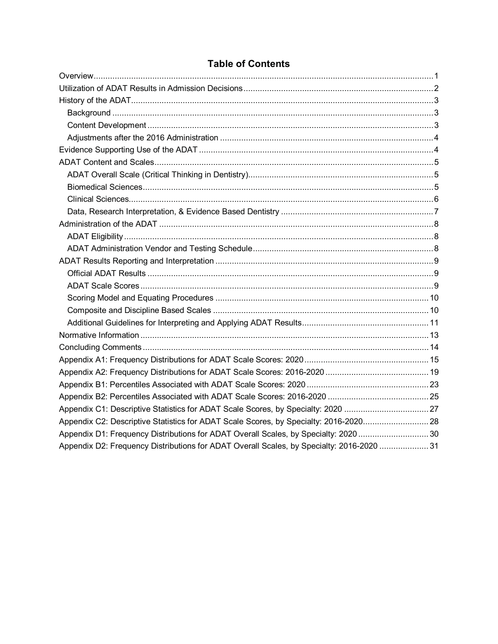| Appendix C1: Descriptive Statistics for ADAT Scale Scores, by Specialty: 2020 27          |  |
|-------------------------------------------------------------------------------------------|--|
| Appendix C2: Descriptive Statistics for ADAT Scale Scores, by Specialty: 2016-202028      |  |
| Appendix D1: Frequency Distributions for ADAT Overall Scales, by Specialty: 2020 30       |  |
| Appendix D2: Frequency Distributions for ADAT Overall Scales, by Specialty: 2016-2020  31 |  |

## **Table of Contents**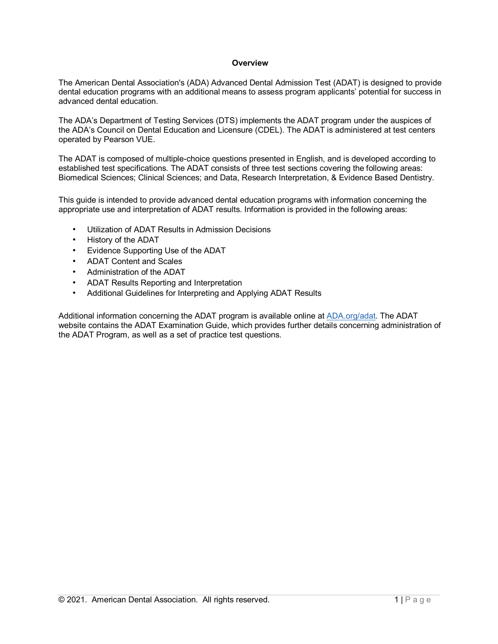#### **Overview**

The American Dental Association's (ADA) Advanced Dental Admission Test (ADAT) is designed to provide dental education programs with an additional means to assess program applicants' potential for success in advanced dental education.

The ADA's Department of Testing Services (DTS) implements the ADAT program under the auspices of the ADA's Council on Dental Education and Licensure (CDEL). The ADAT is administered at test centers operated by Pearson VUE.

The ADAT is composed of multiple-choice questions presented in English, and is developed according to established test specifications. The ADAT consists of three test sections covering the following areas: Biomedical Sciences; Clinical Sciences; and Data, Research Interpretation, & Evidence Based Dentistry.

This guide is intended to provide advanced dental education programs with information concerning the appropriate use and interpretation of ADAT results. Information is provided in the following areas:

- Utilization of ADAT Results in Admission Decisions
- History of the ADAT
- Evidence Supporting Use of the ADAT
- ADAT Content and Scales
- Administration of the ADAT
- ADAT Results Reporting and Interpretation
- Additional Guidelines for Interpreting and Applying ADAT Results

Additional information concerning the ADAT program is available online at ADA.org/adat. The ADAT website contains the ADAT Examination Guide, which provides further details concerning administration of the ADAT Program, as well as a set of practice test questions.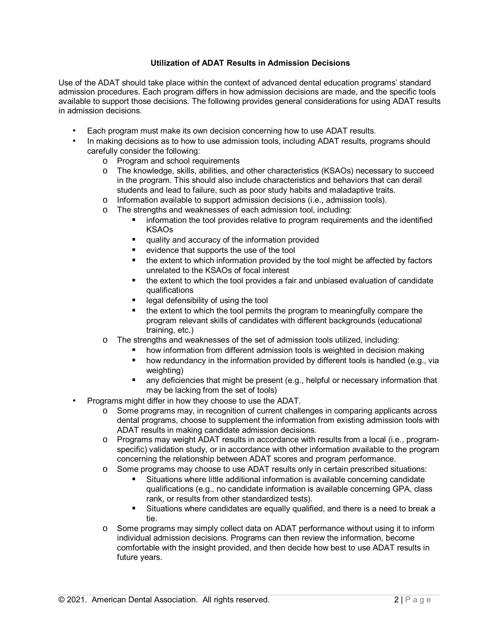#### **Utilization of ADAT Results in Admission Decisions**

Use of the ADAT should take place within the context of advanced dental education programs' standard admission procedures. Each program differs in how admission decisions are made, and the specific tools available to support those decisions. The following provides general considerations for using ADAT results in admission decisions.

- Each program must make its own decision concerning how to use ADAT results.
- In making decisions as to how to use admission tools, including ADAT results, programs should carefully consider the following:
	- o Program and school requirements
	- o The knowledge, skills, abilities, and other characteristics (KSAOs) necessary to succeed in the program. This should also include characteristics and behaviors that can derail students and lead to failure, such as poor study habits and maladaptive traits.
	- o Information available to support admission decisions (i.e., admission tools).
	- o The strengths and weaknesses of each admission tool, including:
		- information the tool provides relative to program requirements and the identified KSAOs
		- quality and accuracy of the information provided
		- evidence that supports the use of the tool
		- the extent to which information provided by the tool might be affected by factors unrelated to the KSAOs of focal interest
		- the extent to which the tool provides a fair and unbiased evaluation of candidate qualifications
		- legal defensibility of using the tool
		- the extent to which the tool permits the program to meaningfully compare the program relevant skills of candidates with different backgrounds (educational training, etc.)
	- o The strengths and weaknesses of the set of admission tools utilized, including:
		- how information from different admission tools is weighted in decision making
		- how redundancy in the information provided by different tools is handled (e.g., via weighting)
		- any deficiencies that might be present (e.g., helpful or necessary information that may be lacking from the set of tools)
- Programs might differ in how they choose to use the ADAT.
	- o Some programs may, in recognition of current challenges in comparing applicants across dental programs, choose to supplement the information from existing admission tools with ADAT results in making candidate admission decisions.
	- o Programs may weight ADAT results in accordance with results from a local (i.e., programspecific) validation study, or in accordance with other information available to the program concerning the relationship between ADAT scores and program performance.
	- o Some programs may choose to use ADAT results only in certain prescribed situations:
		- Situations where little additional information is available concerning candidate qualifications (e.g., no candidate information is available concerning GPA, class rank, or results from other standardized tests).
		- Situations where candidates are equally qualified, and there is a need to break a tie.
	- o Some programs may simply collect data on ADAT performance without using it to inform individual admission decisions. Programs can then review the information, become comfortable with the insight provided, and then decide how best to use ADAT results in future years.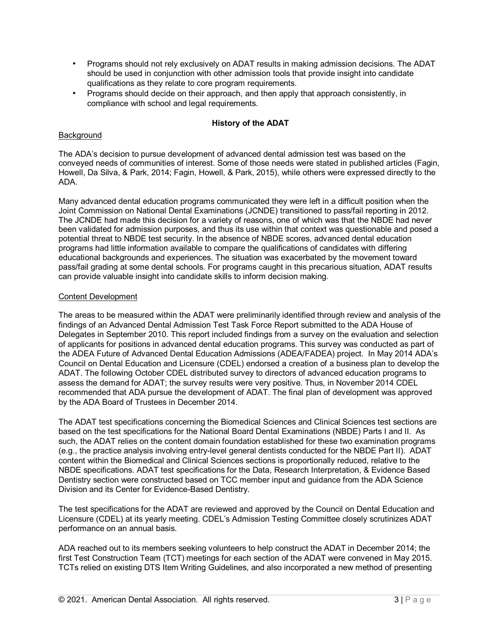- Programs should not rely exclusively on ADAT results in making admission decisions. The ADAT should be used in conjunction with other admission tools that provide insight into candidate qualifications as they relate to core program requirements.
- Programs should decide on their approach, and then apply that approach consistently, in compliance with school and legal requirements.

#### **History of the ADAT**

#### Background

The ADA's decision to pursue development of advanced dental admission test was based on the conveyed needs of communities of interest. Some of those needs were stated in published articles (Fagin, Howell, Da Silva, & Park, 2014; Fagin, Howell, & Park, 2015), while others were expressed directly to the ADA.

Many advanced dental education programs communicated they were left in a difficult position when the Joint Commission on National Dental Examinations (JCNDE) transitioned to pass/fail reporting in 2012. The JCNDE had made this decision for a variety of reasons, one of which was that the NBDE had never been validated for admission purposes, and thus its use within that context was questionable and posed a potential threat to NBDE test security. In the absence of NBDE scores, advanced dental education programs had little information available to compare the qualifications of candidates with differing educational backgrounds and experiences. The situation was exacerbated by the movement toward pass/fail grading at some dental schools. For programs caught in this precarious situation, ADAT results can provide valuable insight into candidate skills to inform decision making.

#### Content Development

The areas to be measured within the ADAT were preliminarily identified through review and analysis of the findings of an Advanced Dental Admission Test Task Force Report submitted to the ADA House of Delegates in September 2010. This report included findings from a survey on the evaluation and selection of applicants for positions in advanced dental education programs. This survey was conducted as part of the ADEA Future of Advanced Dental Education Admissions (ADEA/FADEA) project. In May 2014 ADA's Council on Dental Education and Licensure (CDEL) endorsed a creation of a business plan to develop the ADAT. The following October CDEL distributed survey to directors of advanced education programs to assess the demand for ADAT; the survey results were very positive. Thus, in November 2014 CDEL recommended that ADA pursue the development of ADAT. The final plan of development was approved by the ADA Board of Trustees in December 2014.

The ADAT test specifications concerning the Biomedical Sciences and Clinical Sciences test sections are based on the test specifications for the National Board Dental Examinations (NBDE) Parts I and II. As such, the ADAT relies on the content domain foundation established for these two examination programs (e.g., the practice analysis involving entry-level general dentists conducted for the NBDE Part II). ADAT content within the Biomedical and Clinical Sciences sections is proportionally reduced, relative to the NBDE specifications. ADAT test specifications for the Data, Research Interpretation, & Evidence Based Dentistry section were constructed based on TCC member input and guidance from the ADA Science Division and its Center for Evidence-Based Dentistry.

The test specifications for the ADAT are reviewed and approved by the Council on Dental Education and Licensure (CDEL) at its yearly meeting. CDEL's Admission Testing Committee closely scrutinizes ADAT performance on an annual basis.

ADA reached out to its members seeking volunteers to help construct the ADAT in December 2014; the first Test Construction Team (TCT) meetings for each section of the ADAT were convened in May 2015. TCTs relied on existing DTS Item Writing Guidelines, and also incorporated a new method of presenting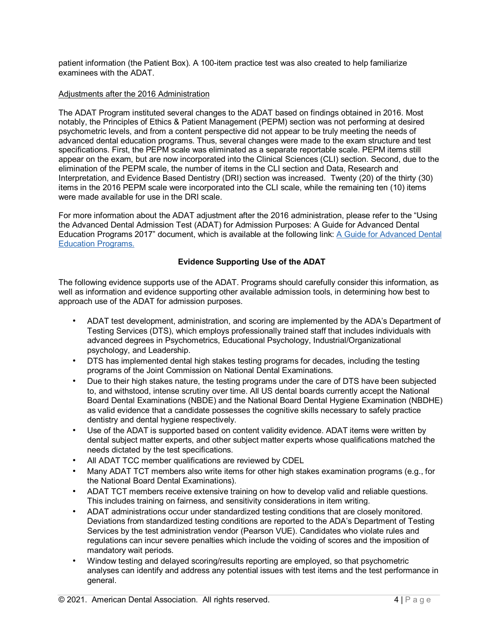patient information (the Patient Box). A 100-item practice test was also created to help familiarize examinees with the ADAT.

#### Adjustments after the 2016 Administration

The ADAT Program instituted several changes to the ADAT based on findings obtained in 2016. Most notably, the Principles of Ethics & Patient Management (PEPM) section was not performing at desired psychometric levels, and from a content perspective did not appear to be truly meeting the needs of advanced dental education programs. Thus, several changes were made to the exam structure and test specifications. First, the PEPM scale was eliminated as a separate reportable scale. PEPM items still appear on the exam, but are now incorporated into the Clinical Sciences (CLI) section. Second, due to the elimination of the PEPM scale, the number of items in the CLI section and Data, Research and Interpretation, and Evidence Based Dentistry (DRI) section was increased. Twenty (20) of the thirty (30) items in the 2016 PEPM scale were incorporated into the CLI scale, while the remaining ten (10) items were made available for use in the DRI scale.

For more information about the ADAT adjustment after the 2016 administration, please refer to the "Using the Advanced Dental Admission Test (ADAT) for Admission Purposes: A Guide for Advanced Dental Education Programs 2017" document, which is available at the following link: A Guide for Advanced Dental Education Programs.

#### **Evidence Supporting Use of the ADAT**

The following evidence supports use of the ADAT. Programs should carefully consider this information, as well as information and evidence supporting other available admission tools, in determining how best to approach use of the ADAT for admission purposes.

- ADAT test development, administration, and scoring are implemented by the ADA's Department of Testing Services (DTS), which employs professionally trained staff that includes individuals with advanced degrees in Psychometrics, Educational Psychology, Industrial/Organizational psychology, and Leadership.
- DTS has implemented dental high stakes testing programs for decades, including the testing programs of the Joint Commission on National Dental Examinations.
- Due to their high stakes nature, the testing programs under the care of DTS have been subjected to, and withstood, intense scrutiny over time. All US dental boards currently accept the National Board Dental Examinations (NBDE) and the National Board Dental Hygiene Examination (NBDHE) as valid evidence that a candidate possesses the cognitive skills necessary to safely practice dentistry and dental hygiene respectively.
- Use of the ADAT is supported based on content validity evidence. ADAT items were written by dental subject matter experts, and other subject matter experts whose qualifications matched the needs dictated by the test specifications.
- All ADAT TCC member qualifications are reviewed by CDEL
- Many ADAT TCT members also write items for other high stakes examination programs (e.g., for the National Board Dental Examinations).
- ADAT TCT members receive extensive training on how to develop valid and reliable questions. This includes training on fairness, and sensitivity considerations in item writing.
- ADAT administrations occur under standardized testing conditions that are closely monitored. Deviations from standardized testing conditions are reported to the ADA's Department of Testing Services by the test administration vendor (Pearson VUE). Candidates who violate rules and regulations can incur severe penalties which include the voiding of scores and the imposition of mandatory wait periods.
- Window testing and delayed scoring/results reporting are employed, so that psychometric analyses can identify and address any potential issues with test items and the test performance in general.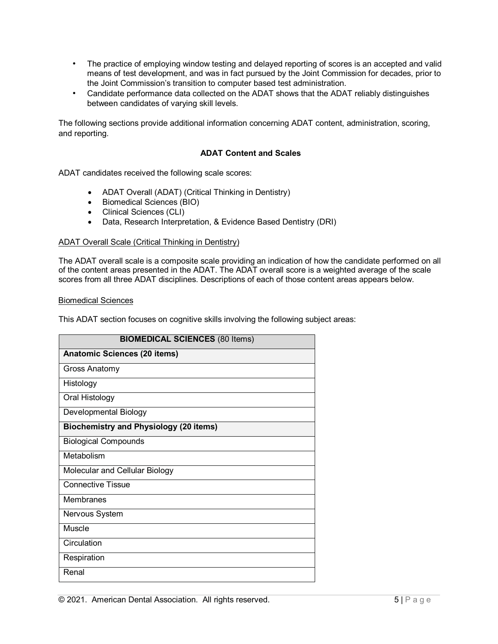- The practice of employing window testing and delayed reporting of scores is an accepted and valid means of test development, and was in fact pursued by the Joint Commission for decades, prior to the Joint Commission's transition to computer based test administration.
- Candidate performance data collected on the ADAT shows that the ADAT reliably distinguishes between candidates of varying skill levels.

The following sections provide additional information concerning ADAT content, administration, scoring, and reporting.

#### **ADAT Content and Scales**

ADAT candidates received the following scale scores:

- ADAT Overall (ADAT) (Critical Thinking in Dentistry)
- Biomedical Sciences (BIO)
- Clinical Sciences (CLI)
- Data, Research Interpretation, & Evidence Based Dentistry (DRI)

#### ADAT Overall Scale (Critical Thinking in Dentistry)

The ADAT overall scale is a composite scale providing an indication of how the candidate performed on all of the content areas presented in the ADAT. The ADAT overall score is a weighted average of the scale scores from all three ADAT disciplines. Descriptions of each of those content areas appears below.

#### Biomedical Sciences

This ADAT section focuses on cognitive skills involving the following subject areas:

| <b>BIOMEDICAL SCIENCES (80 Items)</b>         |
|-----------------------------------------------|
| <b>Anatomic Sciences (20 items)</b>           |
| Gross Anatomy                                 |
| Histology                                     |
| Oral Histology                                |
| Developmental Biology                         |
| <b>Biochemistry and Physiology (20 items)</b> |
| <b>Biological Compounds</b>                   |
| Metabolism                                    |
| Molecular and Cellular Biology                |
| <b>Connective Tissue</b>                      |
| Membranes                                     |
| Nervous System                                |
| Muscle                                        |
| Circulation                                   |
| Respiration                                   |
| Renal                                         |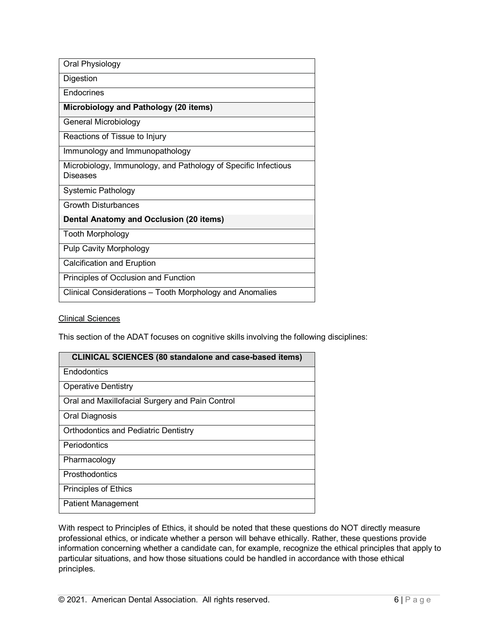| Oral Physiology                                                            |
|----------------------------------------------------------------------------|
| Digestion                                                                  |
| Endocrines                                                                 |
| Microbiology and Pathology (20 items)                                      |
| General Microbiology                                                       |
| Reactions of Tissue to Injury                                              |
| Immunology and Immunopathology                                             |
| Microbiology, Immunology, and Pathology of Specific Infectious<br>Diseases |
| Systemic Pathology                                                         |
| <b>Growth Disturbances</b>                                                 |
| Dental Anatomy and Occlusion (20 items)                                    |
| <b>Tooth Morphology</b>                                                    |
| <b>Pulp Cavity Morphology</b>                                              |
| <b>Calcification and Eruption</b>                                          |
| Principles of Occlusion and Function                                       |
| Clinical Considerations - Tooth Morphology and Anomalies                   |

#### Clinical Sciences

This section of the ADAT focuses on cognitive skills involving the following disciplines:

| <b>CLINICAL SCIENCES (80 standalone and case-based items)</b> |
|---------------------------------------------------------------|
| Endodontics                                                   |
| <b>Operative Dentistry</b>                                    |
| Oral and Maxillofacial Surgery and Pain Control               |
| Oral Diagnosis                                                |
| <b>Orthodontics and Pediatric Dentistry</b>                   |
| Periodontics                                                  |
| Pharmacology                                                  |
| Prosthodontics                                                |
| <b>Principles of Ethics</b>                                   |
| Patient Management                                            |

With respect to Principles of Ethics, it should be noted that these questions do NOT directly measure professional ethics, or indicate whether a person will behave ethically. Rather, these questions provide information concerning whether a candidate can, for example, recognize the ethical principles that apply to particular situations, and how those situations could be handled in accordance with those ethical principles.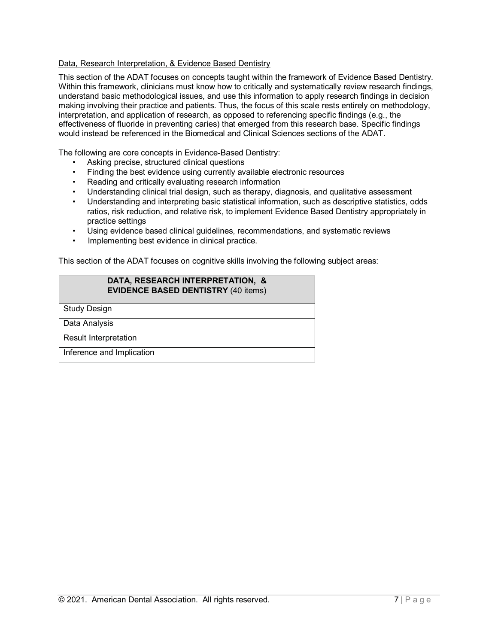#### Data, Research Interpretation, & Evidence Based Dentistry

This section of the ADAT focuses on concepts taught within the framework of Evidence Based Dentistry. Within this framework, clinicians must know how to critically and systematically review research findings, understand basic methodological issues, and use this information to apply research findings in decision making involving their practice and patients. Thus, the focus of this scale rests entirely on methodology, interpretation, and application of research, as opposed to referencing specific findings (e.g., the effectiveness of fluoride in preventing caries) that emerged from this research base. Specific findings would instead be referenced in the Biomedical and Clinical Sciences sections of the ADAT.

The following are core concepts in Evidence-Based Dentistry:

- Asking precise, structured clinical questions
- Finding the best evidence using currently available electronic resources
- Reading and critically evaluating research information
- Understanding clinical trial design, such as therapy, diagnosis, and qualitative assessment
- Understanding and interpreting basic statistical information, such as descriptive statistics, odds ratios, risk reduction, and relative risk, to implement Evidence Based Dentistry appropriately in practice settings
- Using evidence based clinical guidelines, recommendations, and systematic reviews
- Implementing best evidence in clinical practice.

This section of the ADAT focuses on cognitive skills involving the following subject areas:

#### **DATA, RESEARCH INTERPRETATION, & EVIDENCE BASED DENTISTRY** (40 items)

Study Design

Data Analysis

Result Interpretation

Inference and Implication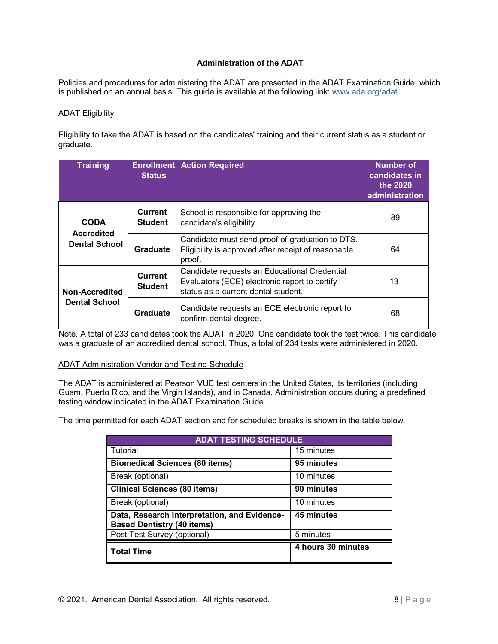#### **Administration of the ADAT**

Policies and procedures for administering the ADAT are presented in the ADAT Examination Guide, which is published on an annual basis. This guide is available at the following link: www.ada.org/adat.

#### ADAT Eligibility

Eligibility to take the ADAT is based on the candidates' training and their current status as a student or graduate.

| <b>Training</b>                           | <b>Status</b>                    | <b>Enrollment Action Required</b>                                                                                                    | Number of<br>candidates in<br>the 2020<br>administration |
|-------------------------------------------|----------------------------------|--------------------------------------------------------------------------------------------------------------------------------------|----------------------------------------------------------|
| <b>CODA</b>                               | Current<br><b>Student</b>        | School is responsible for approving the<br>candidate's eligibility.                                                                  | 89                                                       |
| <b>Accredited</b><br><b>Dental School</b> | <b>Graduate</b>                  | Candidate must send proof of graduation to DTS.<br>Eligibility is approved after receipt of reasonable<br>proof.                     | 64                                                       |
| Non-Accredited<br><b>Dental School</b>    | <b>Current</b><br><b>Student</b> | Candidate requests an Educational Credential<br>Evaluators (ECE) electronic report to certify<br>status as a current dental student. | 13                                                       |
|                                           | <b>Graduate</b>                  | Candidate requests an ECE electronic report to<br>confirm dental degree.                                                             | 68                                                       |

Note. A total of 233 candidates took the ADAT in 2020. One candidate took the test twice. This candidate was a graduate of an accredited dental school. Thus, a total of 234 tests were administered in 2020.

#### ADAT Administration Vendor and Testing Schedule

The ADAT is administered at Pearson VUE test centers in the United States, its territories (including Guam, Puerto Rico, and the Virgin Islands), and in Canada. Administration occurs during a predefined testing window indicated in the ADAT Examination Guide.

The time permitted for each ADAT section and for scheduled breaks is shown in the table below.

| <b>ADAT TESTING SCHEDULE</b>                                                      |                    |  |  |  |
|-----------------------------------------------------------------------------------|--------------------|--|--|--|
| Tutorial                                                                          | 15 minutes         |  |  |  |
| <b>Biomedical Sciences (80 items)</b>                                             | 95 minutes         |  |  |  |
| Break (optional)                                                                  | 10 minutes         |  |  |  |
| <b>Clinical Sciences (80 items)</b>                                               | 90 minutes         |  |  |  |
| Break (optional)                                                                  | 10 minutes         |  |  |  |
| Data, Research Interpretation, and Evidence-<br><b>Based Dentistry (40 items)</b> | 45 minutes         |  |  |  |
| Post Test Survey (optional)                                                       | 5 minutes          |  |  |  |
| <b>Total Time</b>                                                                 | 4 hours 30 minutes |  |  |  |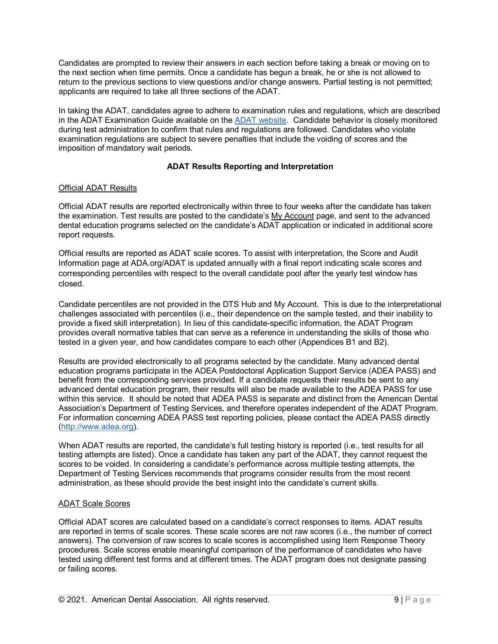Candidates are prompted to review their answers in each section before taking a break or moving on to the next section when time permits. Once a candidate has begun a break, he or she is not allowed to return to the previous sections to view questions and/or change answers. Partial testing is not permitted; applicants are required to take all three sections of the ADAT.

In taking the ADAT, candidates agree to adhere to examination rules and regulations, which are described in the ADAT Examination Guide available on the ADAT website. Candidate behavior is closely monitored during test administration to confirm that rules and regulations are followed. Candidates who violate examination regulations are subject to severe penalties that include the voiding of scores and the imposition of mandatory wait periods.

#### **ADAT Results Reporting and Interpretation**

#### Official ADAT Results

Official ADAT results are reported electronically within three to four weeks after the candidate has taken the examination. Test results are posted to the candidate's My Account page, and sent to the advanced dental education programs selected on the candidate's ADAT application or indicated in additional score report requests.

Official results are reported as ADAT scale scores. To assist with interpretation, the Score and Audit Information page at ADA.org/ADAT is updated annually with a final report indicating scale scores and corresponding percentiles with respect to the overall candidate pool after the yearly test window has closed.

Candidate percentiles are not provided in the DTS Hub and My Account. This is due to the interpretational challenges associated with percentiles (i.e., their dependence on the sample tested, and their inability to provide a fixed skill interpretation). In lieu of this candidate-specific information, the ADAT Program provides overall normative tables that can serve as a reference in understanding the skills of those who tested in a given year, and how candidates compare to each other (Appendices B1 and B2).

Results are provided electronically to all programs selected by the candidate. Many advanced dental education programs participate in the ADEA Postdoctoral Application Support Service (ADEA PASS) and benefit from the corresponding services provided. If a candidate requests their results be sent to any advanced dental education program, their results will also be made available to the ADEA PASS for use within this service. It should be noted that ADEA PASS is separate and distinct from the American Dental Association's Department of Testing Services, and therefore operates independent of the ADAT Program. For information concerning ADEA PASS test reporting policies, please contact the ADEA PASS directly (http://www.adea.org).

When ADAT results are reported, the candidate's full testing history is reported (i.e., test results for all testing attempts are listed). Once a candidate has taken any part of the ADAT, they cannot request the scores to be voided. In considering a candidate's performance across multiple testing attempts, the Department of Testing Services recommends that programs consider results from the most recent administration, as these should provide the best insight into the candidate's current skills.

#### ADAT Scale Scores

Official ADAT scores are calculated based on a candidate's correct responses to items. ADAT results are reported in terms of scale scores. These scale scores are not raw scores (i.e., the number of correct answers). The conversion of raw scores to scale scores is accomplished using Item Response Theory procedures. Scale scores enable meaningful comparison of the performance of candidates who have tested using different test forms and at different times. The ADAT program does not designate passing or failing scores.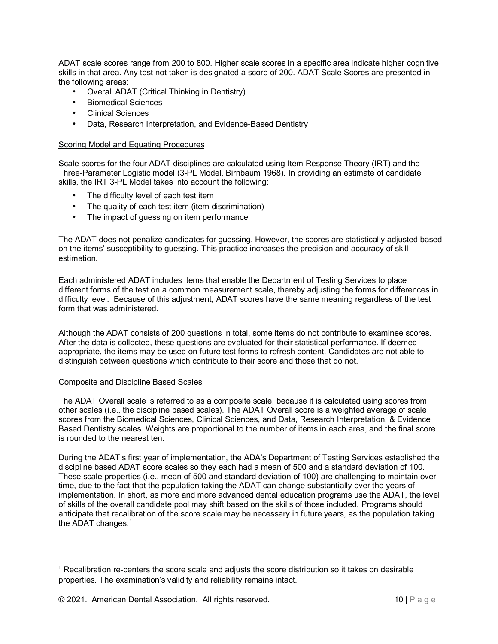ADAT scale scores range from 200 to 800. Higher scale scores in a specific area indicate higher cognitive skills in that area. Any test not taken is designated a score of 200. ADAT Scale Scores are presented in the following areas:

- Overall ADAT (Critical Thinking in Dentistry)
- Biomedical Sciences
- Clinical Sciences
- Data, Research Interpretation, and Evidence-Based Dentistry

#### Scoring Model and Equating Procedures

Scale scores for the four ADAT disciplines are calculated using Item Response Theory (IRT) and the Three-Parameter Logistic model (3-PL Model, Birnbaum 1968). In providing an estimate of candidate skills, the IRT 3-PL Model takes into account the following:

- The difficulty level of each test item
- The quality of each test item (item discrimination)
- The impact of guessing on item performance

The ADAT does not penalize candidates for guessing. However, the scores are statistically adjusted based on the items' susceptibility to guessing. This practice increases the precision and accuracy of skill estimation.

Each administered ADAT includes items that enable the Department of Testing Services to place different forms of the test on a common measurement scale, thereby adjusting the forms for differences in difficulty level. Because of this adjustment, ADAT scores have the same meaning regardless of the test form that was administered.

Although the ADAT consists of 200 questions in total, some items do not contribute to examinee scores. After the data is collected, these questions are evaluated for their statistical performance. If deemed appropriate, the items may be used on future test forms to refresh content. Candidates are not able to distinguish between questions which contribute to their score and those that do not.

#### Composite and Discipline Based Scales

The ADAT Overall scale is referred to as a composite scale, because it is calculated using scores from other scales (i.e., the discipline based scales). The ADAT Overall score is a weighted average of scale scores from the Biomedical Sciences, Clinical Sciences, and Data, Research Interpretation, & Evidence Based Dentistry scales. Weights are proportional to the number of items in each area, and the final score is rounded to the nearest ten.

During the ADAT's first year of implementation, the ADA's Department of Testing Services established the discipline based ADAT score scales so they each had a mean of 500 and a standard deviation of 100. These scale properties (i.e., mean of 500 and standard deviation of 100) are challenging to maintain over time, due to the fact that the population taking the ADAT can change substantially over the years of implementation. In short, as more and more advanced dental education programs use the ADAT, the level of skills of the overall candidate pool may shift based on the skills of those included. Programs should anticipate that recalibration of the score scale may be necessary in future years, as the population taking the ADAT changes.<sup>1</sup>

 $<sup>1</sup>$  Recalibration re-centers the score scale and adjusts the score distribution so it takes on desirable</sup> properties. The examination's validity and reliability remains intact.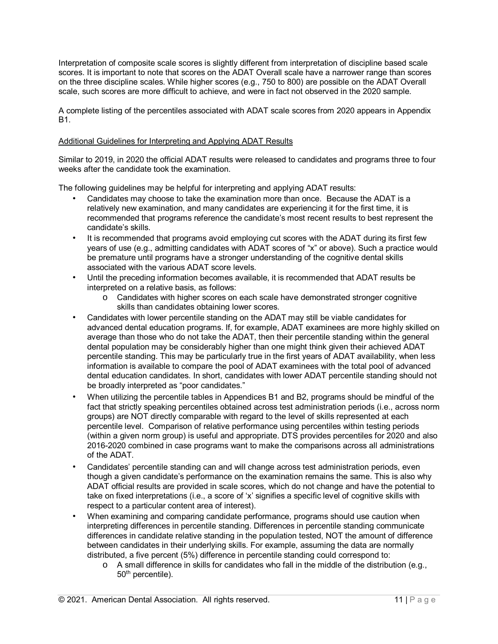Interpretation of composite scale scores is slightly different from interpretation of discipline based scale scores. It is important to note that scores on the ADAT Overall scale have a narrower range than scores on the three discipline scales. While higher scores (e.g., 750 to 800) are possible on the ADAT Overall scale, such scores are more difficult to achieve, and were in fact not observed in the 2020 sample.

A complete listing of the percentiles associated with ADAT scale scores from 2020 appears in Appendix B1.

#### Additional Guidelines for Interpreting and Applying ADAT Results

Similar to 2019, in 2020 the official ADAT results were released to candidates and programs three to four weeks after the candidate took the examination.

The following guidelines may be helpful for interpreting and applying ADAT results:

- Candidates may choose to take the examination more than once. Because the ADAT is a relatively new examination, and many candidates are experiencing it for the first time, it is recommended that programs reference the candidate's most recent results to best represent the candidate's skills.
- It is recommended that programs avoid employing cut scores with the ADAT during its first few years of use (e.g., admitting candidates with ADAT scores of "x" or above). Such a practice would be premature until programs have a stronger understanding of the cognitive dental skills associated with the various ADAT score levels.
- Until the preceding information becomes available, it is recommended that ADAT results be interpreted on a relative basis, as follows:
	- o Candidates with higher scores on each scale have demonstrated stronger cognitive skills than candidates obtaining lower scores.
- Candidates with lower percentile standing on the ADAT may still be viable candidates for advanced dental education programs. If, for example, ADAT examinees are more highly skilled on average than those who do not take the ADAT, then their percentile standing within the general dental population may be considerably higher than one might think given their achieved ADAT percentile standing. This may be particularly true in the first years of ADAT availability, when less information is available to compare the pool of ADAT examinees with the total pool of advanced dental education candidates. In short, candidates with lower ADAT percentile standing should not be broadly interpreted as "poor candidates."
- When utilizing the percentile tables in Appendices B1 and B2, programs should be mindful of the fact that strictly speaking percentiles obtained across test administration periods (i.e., across norm groups) are NOT directly comparable with regard to the level of skills represented at each percentile level. Comparison of relative performance using percentiles within testing periods (within a given norm group) is useful and appropriate. DTS provides percentiles for 2020 and also 2016-2020 combined in case programs want to make the comparisons across all administrations of the ADAT.
- Candidates' percentile standing can and will change across test administration periods, even though a given candidate's performance on the examination remains the same. This is also why ADAT official results are provided in scale scores, which do not change and have the potential to take on fixed interpretations (i.e., a score of 'x' signifies a specific level of cognitive skills with respect to a particular content area of interest).
- When examining and comparing candidate performance, programs should use caution when interpreting differences in percentile standing. Differences in percentile standing communicate differences in candidate relative standing in the population tested, NOT the amount of difference between candidates in their underlying skills. For example, assuming the data are normally distributed, a five percent (5%) difference in percentile standing could correspond to:
	- o A small difference in skills for candidates who fall in the middle of the distribution (e.g., 50<sup>th</sup> percentile).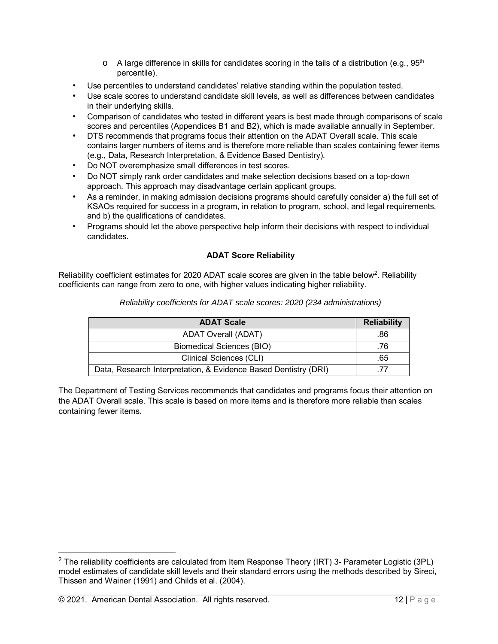- $\circ$  A large difference in skills for candidates scoring in the tails of a distribution (e.g., 95<sup>th</sup>) percentile).
- Use percentiles to understand candidates' relative standing within the population tested.
- Use scale scores to understand candidate skill levels, as well as differences between candidates in their underlying skills.
- Comparison of candidates who tested in different years is best made through comparisons of scale scores and percentiles (Appendices B1 and B2), which is made available annually in September.
- DTS recommends that programs focus their attention on the ADAT Overall scale. This scale contains larger numbers of items and is therefore more reliable than scales containing fewer items (e.g., Data, Research Interpretation, & Evidence Based Dentistry).
- Do NOT overemphasize small differences in test scores.
- Do NOT simply rank order candidates and make selection decisions based on a top-down approach. This approach may disadvantage certain applicant groups.
- As a reminder, in making admission decisions programs should carefully consider a) the full set of KSAOs required for success in a program, in relation to program, school, and legal requirements, and b) the qualifications of candidates.
- Programs should let the above perspective help inform their decisions with respect to individual candidates.

#### **ADAT Score Reliability**

Reliability coefficient estimates for 2020 ADAT scale scores are given in the table below2. Reliability coefficients can range from zero to one, with higher values indicating higher reliability.

| <b>ADAT Scale</b>                                               | <b>Reliability</b> |
|-----------------------------------------------------------------|--------------------|
| <b>ADAT Overall (ADAT)</b>                                      | .86                |
| <b>Biomedical Sciences (BIO)</b>                                | .76                |
| Clinical Sciences (CLI)                                         | .65                |
| Data, Research Interpretation, & Evidence Based Dentistry (DRI) | 77                 |

*Reliability coefficients for ADAT scale scores: 2020 (234 administrations)*

The Department of Testing Services recommends that candidates and programs focus their attention on the ADAT Overall scale. This scale is based on more items and is therefore more reliable than scales containing fewer items.

 $2$  The reliability coefficients are calculated from Item Response Theory (IRT) 3- Parameter Logistic (3PL) model estimates of candidate skill levels and their standard errors using the methods described by Sireci, Thissen and Wainer (1991) and Childs et al. (2004).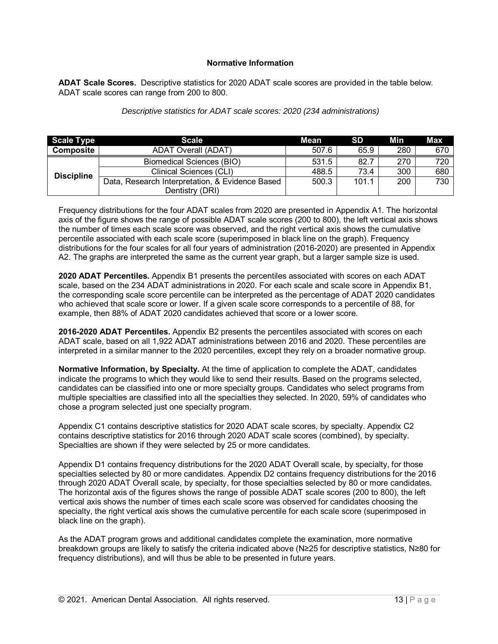#### **Normative Information**

**ADAT Scale Scores.** Descriptive statistics for 2020 ADAT scale scores are provided in the table below. ADAT scale scores can range from 200 to 800.

| <b>Scale Type</b> | <b>Scale</b>                                    | Mean  | <b>SD</b> | Min | <b>Max</b> |
|-------------------|-------------------------------------------------|-------|-----------|-----|------------|
| Composite         | ADAT Overall (ADAT)                             | 507.6 | 65.9      | 280 | 670        |
| <b>Discipline</b> | Biomedical Sciences (BIO)                       | 531.5 | 82.7      | 270 | 720        |
|                   | Clinical Sciences (CLI)                         | 488.5 | 73.4      | 300 | 680        |
|                   | Data, Research Interpretation, & Evidence Based | 500.3 | 101.1     | 200 | 730        |
|                   | Dentistry (DRI)                                 |       |           |     |            |

*Descriptive statistics for ADAT scale scores: 2020 (234 administrations)*

Frequency distributions for the four ADAT scales from 2020 are presented in Appendix A1. The horizontal axis of the figure shows the range of possible ADAT scale scores (200 to 800), the left vertical axis shows the number of times each scale score was observed, and the right vertical axis shows the cumulative percentile associated with each scale score (superimposed in black line on the graph). Frequency distributions for the four scales for all four years of administration (2016-2020) are presented in Appendix A2. The graphs are interpreted the same as the current year graph, but a larger sample size is used.

**2020 ADAT Percentiles.** Appendix B1 presents the percentiles associated with scores on each ADAT scale, based on the 234 ADAT administrations in 2020. For each scale and scale score in Appendix B1, the corresponding scale score percentile can be interpreted as the percentage of ADAT 2020 candidates who achieved that scale score or lower. If a given scale score corresponds to a percentile of 88, for example, then 88% of ADAT 2020 candidates achieved that score or a lower score.

**2016-2020 ADAT Percentiles.** Appendix B2 presents the percentiles associated with scores on each ADAT scale, based on all 1,922 ADAT administrations between 2016 and 2020. These percentiles are interpreted in a similar manner to the 2020 percentiles, except they rely on a broader normative group.

**Normative Information, by Specialty.** At the time of application to complete the ADAT, candidates indicate the programs to which they would like to send their results. Based on the programs selected, candidates can be classified into one or more specialty groups. Candidates who select programs from multiple specialties are classified into all the specialties they selected. In 2020, 59% of candidates who chose a program selected just one specialty program.

Appendix C1 contains descriptive statistics for 2020 ADAT scale scores, by specialty. Appendix C2 contains descriptive statistics for 2016 through 2020 ADAT scale scores (combined), by specialty. Specialties are shown if they were selected by 25 or more candidates.

Appendix D1 contains frequency distributions for the 2020 ADAT Overall scale, by specialty, for those specialties selected by 80 or more candidates. Appendix D2 contains frequency distributions for the 2016 through 2020 ADAT Overall scale, by specialty, for those specialties selected by 80 or more candidates. The horizontal axis of the figures shows the range of possible ADAT scale scores (200 to 800), the left vertical axis shows the number of times each scale score was observed for candidates choosing the specialty, the right vertical axis shows the cumulative percentile for each scale score (superimposed in black line on the graph).

As the ADAT program grows and additional candidates complete the examination, more normative breakdown groups are likely to satisfy the criteria indicated above ( $N\geq25$  for descriptive statistics,  $N\geq80$  for frequency distributions), and will thus be able to be presented in future years.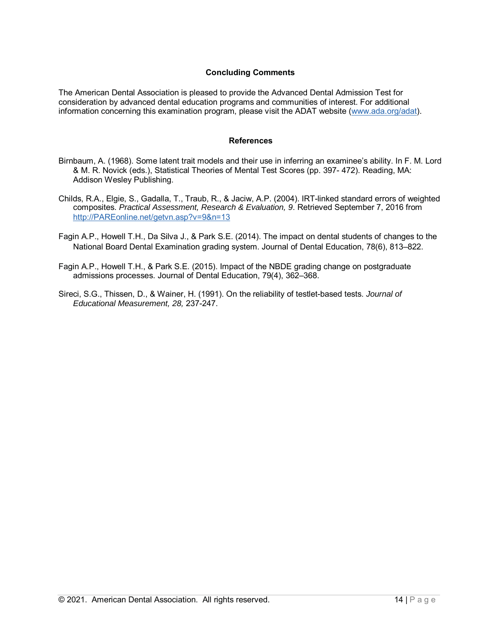#### **Concluding Comments**

The American Dental Association is pleased to provide the Advanced Dental Admission Test for consideration by advanced dental education programs and communities of interest. For additional information concerning this examination program, please visit the ADAT website (www.ada.org/adat).

#### **References**

- Birnbaum, A. (1968). Some latent trait models and their use in inferring an examinee's ability. In F. M. Lord & M. R. Novick (eds.), Statistical Theories of Mental Test Scores (pp. 397- 472). Reading, MA: Addison Wesley Publishing.
- Childs, R.A., Elgie, S., Gadalla, T., Traub, R., & Jaciw, A.P. (2004). IRT-linked standard errors of weighted composites. *Practical Assessment, Research & Evaluation, 9*. Retrieved September 7, 2016 from http://PAREonline.net/getvn.asp?v=9&n=13
- Fagin A.P., Howell T.H., Da Silva J., & Park S.E. (2014). The impact on dental students of changes to the National Board Dental Examination grading system. Journal of Dental Education, 78(6), 813–822.
- Fagin A.P., Howell T.H., & Park S.E. (2015). Impact of the NBDE grading change on postgraduate admissions processes. Journal of Dental Education, 79(4), 362–368.
- Sireci, S.G., Thissen, D., & Wainer, H. (1991). On the reliability of testlet-based tests. *Journal of Educational Measurement, 28,* 237-247.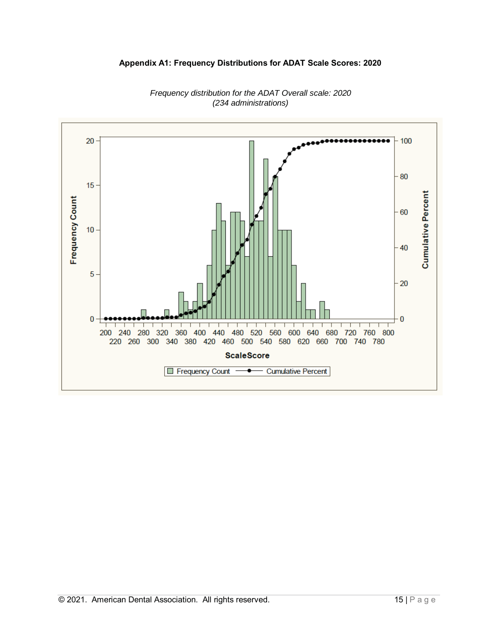#### **Appendix A1: Frequency Distributions for ADAT Scale Scores: 2020**



*Frequency distribution for the ADAT Overall scale: 2020 (234 administrations)*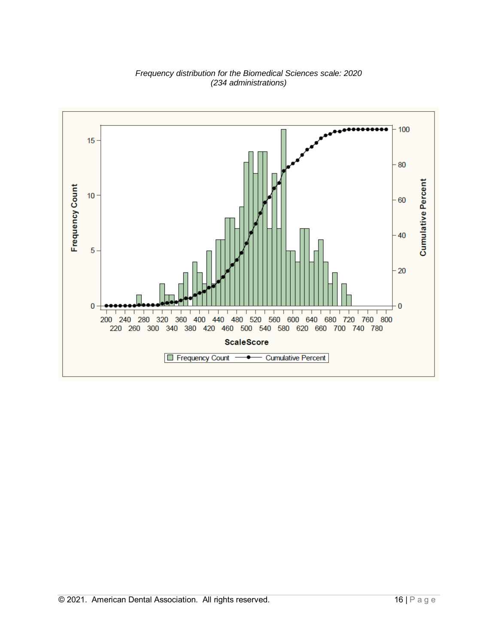

*Frequency distribution for the Biomedical Sciences scale: 2020 (234 administrations)*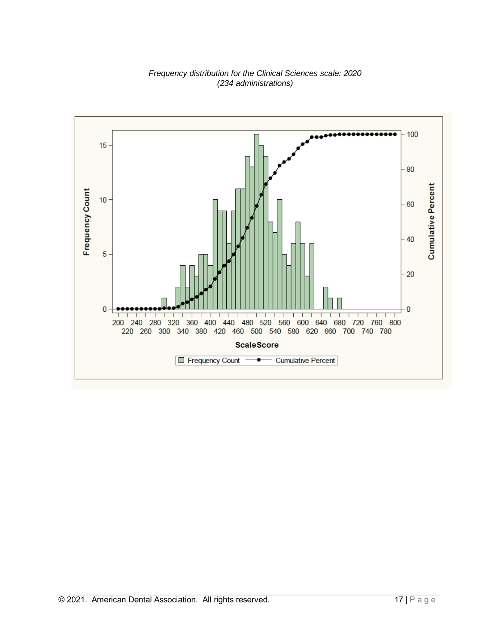

#### *Frequency distribution for the Clinical Sciences scale: 2020 (234 administrations)*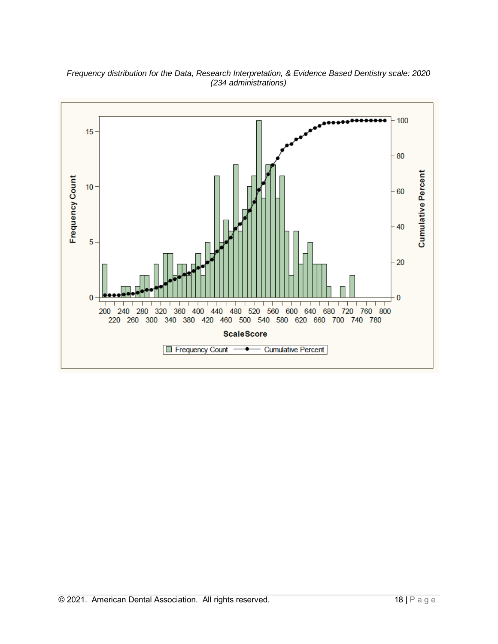

*Frequency distribution for the Data, Research Interpretation, & Evidence Based Dentistry scale: 2020 (234 administrations)*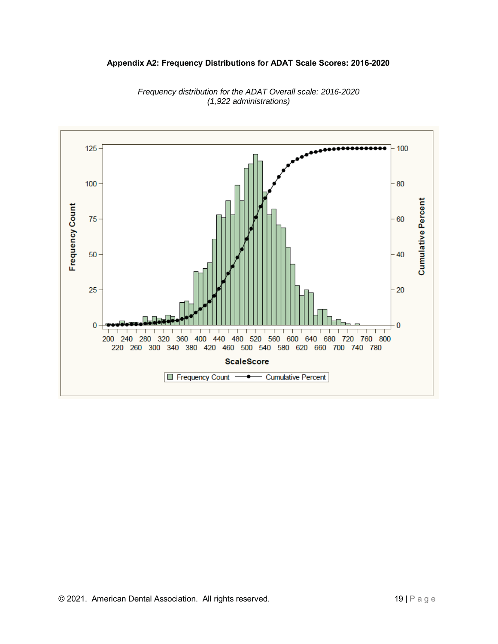#### **Appendix A2: Frequency Distributions for ADAT Scale Scores: 2016-2020**



*Frequency distribution for the ADAT Overall scale: 2016-2020 (1,922 administrations)*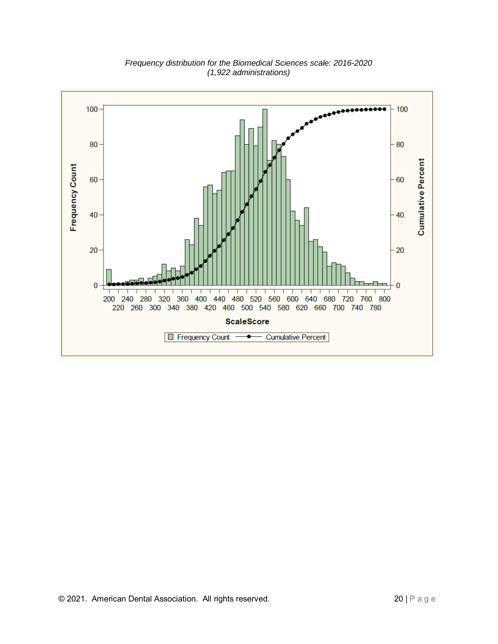

*Frequency distribution for the Biomedical Sciences scale: 2016-2020 (1,922 administrations)*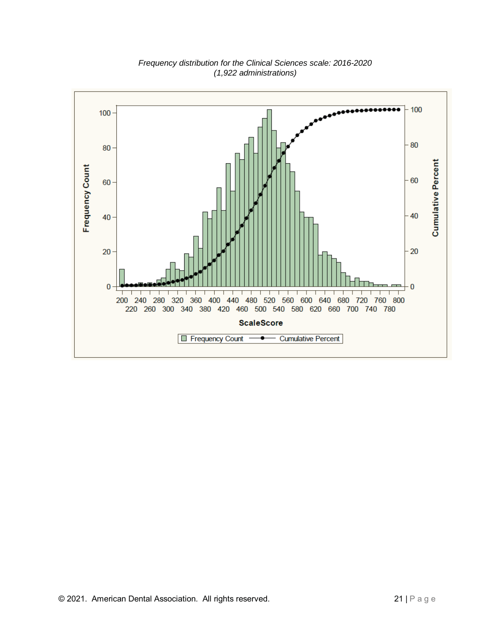

*Frequency distribution for the Clinical Sciences scale: 2016-2020 (1,922 administrations)*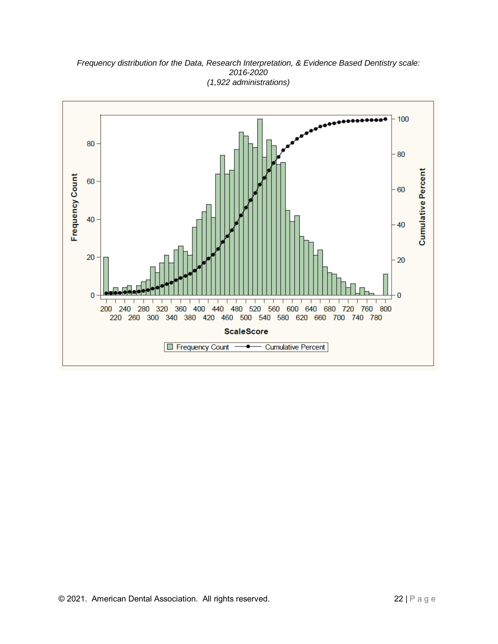

*Frequency distribution for the Data, Research Interpretation, & Evidence Based Dentistry scale: 2016-2020 (1,922 administrations)*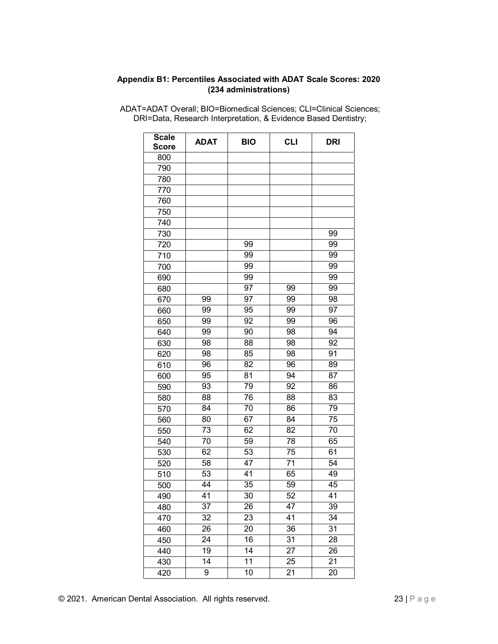#### **Appendix B1: Percentiles Associated with ADAT Scale Scores: 2020 (234 administrations)**

| <b>Scale</b> | <b>ADAT</b>     | <b>BIO</b>      | <b>CLI</b>      | <b>DRI</b>      |
|--------------|-----------------|-----------------|-----------------|-----------------|
| <b>Score</b> |                 |                 |                 |                 |
| 800          |                 |                 |                 |                 |
| 790          |                 |                 |                 |                 |
| 780          |                 |                 |                 |                 |
| 770          |                 |                 |                 |                 |
| 760          |                 |                 |                 |                 |
| 750          |                 |                 |                 |                 |
| 740          |                 |                 |                 |                 |
| 730          |                 |                 |                 | 99              |
| 720          |                 | 99              |                 | 99              |
| 710          |                 | 99              |                 | 99              |
| 700          |                 | 99              |                 | 99              |
| 690          |                 | 99              |                 | 99              |
| 680          |                 | 97              | 99              | 99              |
| 670          | 99              | 97              | 99              | 98              |
| 660          | 99              | 95              | 99              | 97              |
| 650          | 99              | 92              | 99              | $\overline{96}$ |
| 640          | 99              | 90              | 98              | 94              |
| 630          | 98              | 88              | 98              | 92              |
| 620          | 98              | 85              | 98              | 91              |
| 610          | 96              | $\overline{82}$ | 96              | 89              |
| 600          | 95              | 81              | 94              | 87              |
| 590          | 93              | 79              | 92              | 86              |
| 580          | 88              | 76              | 88              | 83              |
| 570          | $\overline{84}$ | $\overline{70}$ | $\overline{86}$ | 79              |
| 560          | 80              | 67              | 84              | 75              |
| 550          | 73              | 62              | 82              | 70              |
| 540          | 70              | 59              | 78              | 65              |
| 530          | 62              | 53              | $\overline{75}$ | 61              |
| 520          | 58              | 47              | 71              | 54              |
| 510          | 53              | 41              | 65              | 49              |
| 500          | 44              | 35              | 59              | 45              |
| 490          | $\overline{41}$ | $\overline{30}$ | 52              | 41              |
| 480          | 37              | 26              | 47              | $\overline{39}$ |
| 470          | $\overline{32}$ | 23              | 41              | 34              |
| 460          | 26              | 20              | 36              | 31              |
| 450          | 24              | 16              | $\overline{31}$ | $\overline{28}$ |
| 440          | 19              | $\overline{14}$ | 27              | $\overline{26}$ |
| 430          | 14              | 11              | 25              | 21              |
| 420          | 9               | $\overline{10}$ | $\overline{21}$ | 20              |

ADAT=ADAT Overall; BIO=Biomedical Sciences; CLI=Clinical Sciences; DRI=Data, Research Interpretation, & Evidence Based Dentistry;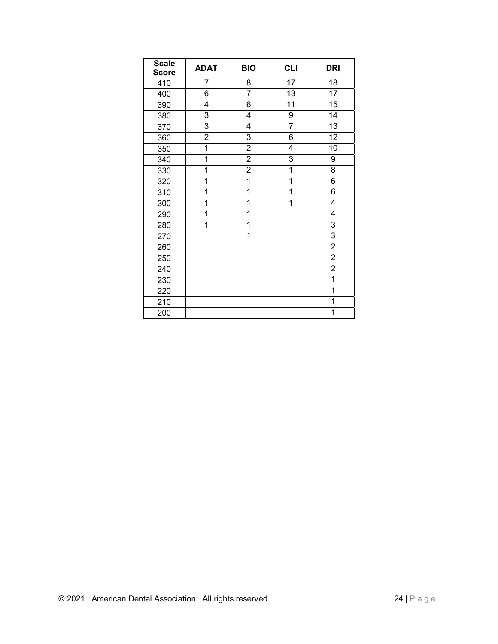| <b>Scale</b><br><b>Score</b> | <b>ADAT</b>    | <b>BIO</b>     | <b>CLI</b>      | <b>DRI</b>      |
|------------------------------|----------------|----------------|-----------------|-----------------|
| 410                          | 7              | 8              | $\overline{17}$ | 18              |
| 400                          | $\overline{6}$ | 7              | $\overline{13}$ | $\overline{17}$ |
| 390                          | 4              | 6              | $\overline{11}$ | $\overline{15}$ |
| 380                          | 3              | 4              | 9               | 14              |
| 370                          | $\overline{3}$ | 4              | $\overline{7}$  | $\overline{13}$ |
| 360                          | $\overline{2}$ | $\overline{3}$ | 6               | 12              |
| 350                          | $\overline{1}$ | $\overline{2}$ | 4               | $\overline{10}$ |
| 340                          | $\overline{1}$ | $\overline{2}$ | 3               | 9               |
| 330                          | 1              | $\overline{2}$ | $\overline{1}$  | $\overline{8}$  |
| 320                          | 1              | $\overline{1}$ | $\overline{1}$  | 6               |
| 310                          | 1              | 1              | 1               | 6               |
| 300                          | 1              | $\overline{1}$ | $\overline{1}$  | 4               |
| 290                          | 1              | 1              |                 | $\overline{4}$  |
| 280                          | 1              | 1              |                 | 3               |
| 270                          |                | 1              |                 | 3               |
| 260                          |                |                |                 | $\overline{2}$  |
| 250                          |                |                |                 | $\overline{2}$  |
| 240                          |                |                |                 | $\overline{2}$  |
| 230                          |                |                |                 | $\overline{1}$  |
| 220                          |                |                |                 | 1               |
| 210                          |                |                |                 | $\overline{1}$  |
| 200                          |                |                |                 | $\overline{1}$  |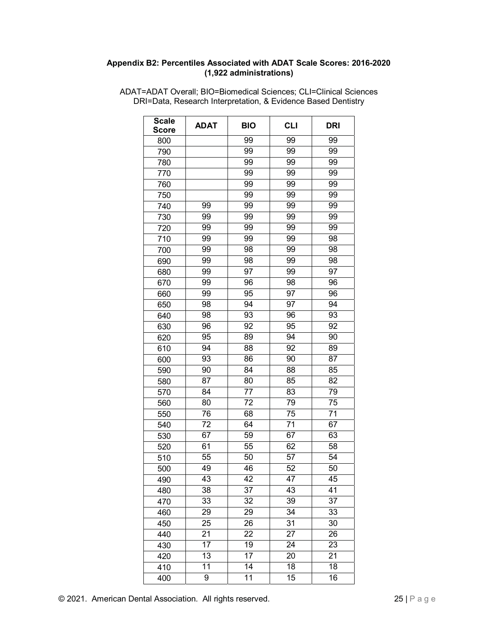#### **Appendix B2: Percentiles Associated with ADAT Scale Scores: 2016-2020 (1,922 administrations)**

| <b>Scale</b><br><b>Score</b> | <b>ADAT</b>     | <b>BIO</b>      | <b>CLI</b>      | DRI             |
|------------------------------|-----------------|-----------------|-----------------|-----------------|
| 800                          |                 | 99              | 99              | 99              |
| 790                          |                 | 99              | 99              | 99              |
| 780                          |                 | 99              | 99              | 99              |
| 770                          |                 | 99              | 99              | 99              |
| 760                          |                 | 99              | 99              | 99              |
| 750                          |                 | 99              | 99              | 99              |
| 740                          | 99              | 99              | 99              | 99              |
| 730                          | 99              | 99              | 99              | 99              |
| 720                          | 99              | 99              | 99              | 99              |
| 710                          | 99              | 99              | 99              | 98              |
| 700                          | 99              | 98              | 99              | 98              |
| 690                          | 99              | 98              | 99              | 98              |
| 680                          | 99              | 97              | 99              | 97              |
| 670                          | 99              | 96              | 98              | 96              |
| 660                          | 99              | 95              | 97              | 96              |
| 650                          | 98              | 94              | 97              | 94              |
| 640                          | 98              | 93              | 96              | 93              |
| 630                          | 96              | 92              | 95              | 92              |
| 620                          | 95              | 89              | 94              | 90              |
| 610                          | 94              | 88              | 92              | 89              |
| 600                          | 93              | 86              | 90              | 87              |
| 590                          | 90              | 84              | 88              | 85              |
| 580                          | 87              | 80              | 85              | 82              |
| 570                          | 84              | 77              | 83              | 79              |
| 560                          | 80              | $\overline{72}$ | $\overline{79}$ | $\overline{75}$ |
| 550                          | 76              | 68              | $\overline{75}$ | $\overline{71}$ |
| 540                          | $\overline{72}$ | 64              | $\overline{71}$ | 67              |
| 530                          | 67              | 59              | 67              | 63              |
| 520                          | 61              | 55              | 62              | 58              |
| 510                          | 55              | 50              | 57              | 54              |
| 500                          | 49              | 46              | 52              | 50              |
| 490                          | 43              | 42              | 47              | 45              |
| 480                          | 38              | 37              | 43              | 41              |
| 470                          | 33              | 32              | 39              | $\overline{37}$ |
| 460                          | 29              | 29              | 34              | 33              |
| 450                          | 25              | 26              | 31              | 30              |
| 440                          | 21              | 22              | 27              | 26              |
| 430                          | $\overline{17}$ | 19              | $\overline{24}$ | 23              |
| 420                          | $\overline{1}3$ | 17              | 20              | 21              |
| 410                          | 11              | 14              | 18              | 18              |
| 400                          | 9               | $\overline{11}$ | 15              | $\overline{16}$ |

ADAT=ADAT Overall; BIO=Biomedical Sciences; CLI=Clinical Sciences DRI=Data, Research Interpretation, & Evidence Based Dentistry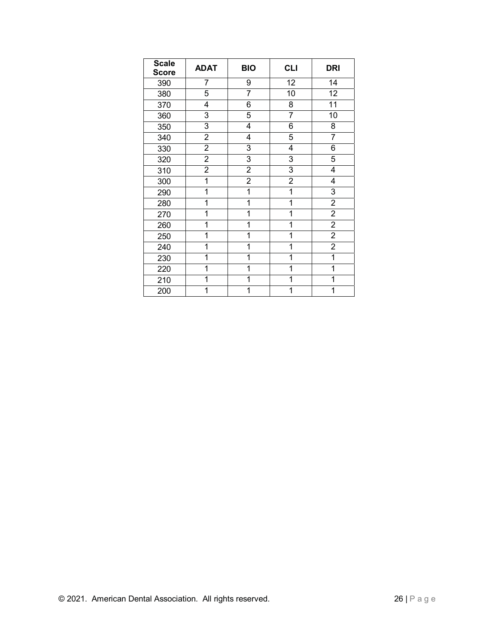| <b>Scale</b><br><b>Score</b> | <b>ADAT</b>    | <b>BIO</b>     | <b>CLI</b>              | <b>DRI</b>      |
|------------------------------|----------------|----------------|-------------------------|-----------------|
| 390                          | 7              | 9              | 12                      | 14              |
| 380                          | 5              | $\overline{7}$ | $\overline{10}$         | 12              |
| 370                          | 4              | 6              | 8                       | 11              |
| 360                          | 3              | 5              | 7                       | $\overline{10}$ |
| 350                          | $\overline{3}$ | 4              | $\overline{6}$          | $\overline{8}$  |
| 340                          | $\overline{2}$ | 4              | 5                       | 7               |
| 330                          | $\overline{2}$ | 3              | 4                       | 6               |
| 320                          | $\overline{2}$ | 3              | $\overline{3}$          | 5               |
| 310                          | $\overline{2}$ | $\mathbf{2}$   | $\overline{3}$          | 4               |
| 300                          | 1              | $\overline{2}$ | $\overline{2}$          | 4               |
| 290                          | $\overline{1}$ | $\overline{1}$ | $\overline{\mathbf{1}}$ | $\overline{3}$  |
| 280                          | 1              | 1              | $\overline{1}$          | $\overline{2}$  |
| 270                          | 1              | 1              | 1                       | $\overline{2}$  |
| 260                          | 1              | 1              | 1                       | $\overline{2}$  |
| 250                          | 1              | 1              | 1                       | $\overline{2}$  |
| 240                          | 1              | 1              | 1                       | $\overline{2}$  |
| 230                          | 1              | 1              | 1                       | 1               |
| 220                          | 1              | 1              | 1                       | 1               |
| 210                          | 1              | 1              | 1                       | 1               |
| 200                          | 1              | 1              | 1                       | 1               |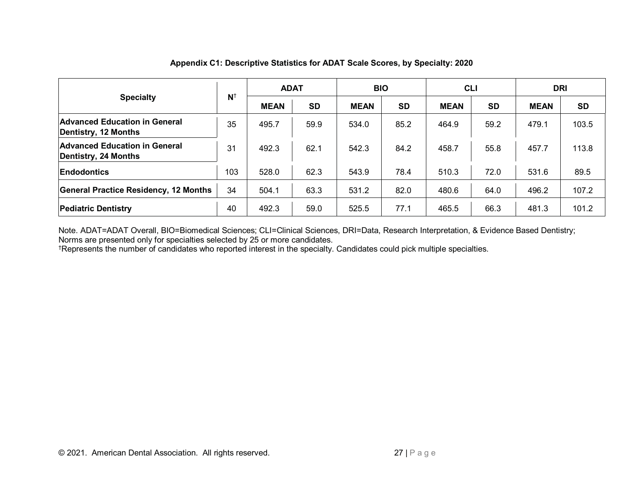### **Specialty N**† **ADAT BIO CLI DRI MEAN SD MEAN SD MEAN SD MEAN SD Advanced Education in General Dentistry, 12 Months** 35 495.7 59.9 534.0 85.2 464.9 59.2 479.1 103.5 **Advanced Education in General Dentistry, 24 Months** 31 492.3 62.1 542.3 84.2 458.7 55.8 457.7 113.8 **Endodontics** 103 528.0 62.3 543.9 78.4 510.3 72.0 531.6 89.5 **General Practice Residency, 12 Months** 34  $\vert$  504.1 63.3  $\vert$  531.2  $\vert$  82.0  $\vert$  480.6  $\vert$  64.0  $\vert$  496.2  $\vert$  107.2 **Pediatric Dentistry** 2001 40 492.3 59.0 525.5 77.1 465.5 66.3 481.3 101.2

#### **Appendix C1: Descriptive Statistics for ADAT Scale Scores, by Specialty: 2020**

Note. ADAT=ADAT Overall, BIO=Biomedical Sciences; CLI=Clinical Sciences, DRI=Data, Research Interpretation, & Evidence Based Dentistry; Norms are presented only for specialties selected by 25 or more candidates.

†Represents the number of candidates who reported interest in the specialty. Candidates could pick multiple specialties.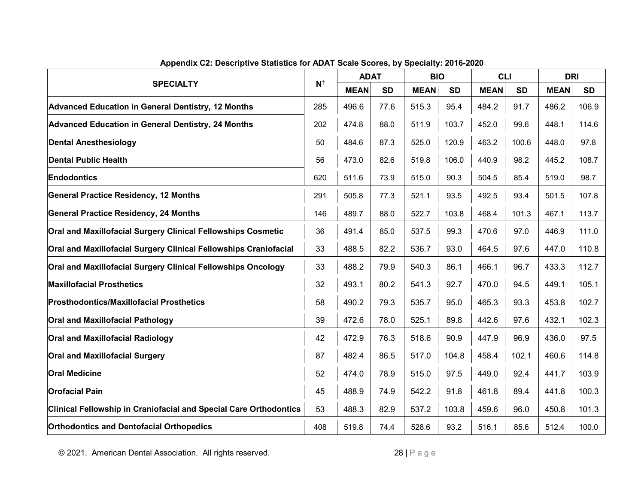| <b>SPECIALTY</b>                                                         | $N^{\dagger}$ | <b>ADAT</b> |           | <b>BIO</b>  |           | <b>CLI</b>  |           | <b>DRI</b>  |           |
|--------------------------------------------------------------------------|---------------|-------------|-----------|-------------|-----------|-------------|-----------|-------------|-----------|
|                                                                          |               | <b>MEAN</b> | <b>SD</b> | <b>MEAN</b> | <b>SD</b> | <b>MEAN</b> | <b>SD</b> | <b>MEAN</b> | <b>SD</b> |
| Advanced Education in General Dentistry, 12 Months                       | 285           | 496.6       | 77.6      | 515.3       | 95.4      | 484.2       | 91.7      | 486.2       | 106.9     |
| <b>Advanced Education in General Dentistry, 24 Months</b>                | 202           | 474.8       | 88.0      | 511.9       | 103.7     | 452.0       | 99.6      | 448.1       | 114.6     |
| <b>Dental Anesthesiology</b>                                             | 50            | 484.6       | 87.3      | 525.0       | 120.9     | 463.2       | 100.6     | 448.0       | 97.8      |
| <b>Dental Public Health</b>                                              | 56            | 473.0       | 82.6      | 519.8       | 106.0     | 440.9       | 98.2      | 445.2       | 108.7     |
| <b>Endodontics</b>                                                       | 620           | 511.6       | 73.9      | 515.0       | 90.3      | 504.5       | 85.4      | 519.0       | 98.7      |
| <b>General Practice Residency, 12 Months</b>                             | 291           | 505.8       | 77.3      | 521.1       | 93.5      | 492.5       | 93.4      | 501.5       | 107.8     |
| <b>General Practice Residency, 24 Months</b>                             | 146           | 489.7       | 88.0      | 522.7       | 103.8     | 468.4       | 101.3     | 467.1       | 113.7     |
| Oral and Maxillofacial Surgery Clinical Fellowships Cosmetic             | 36            | 491.4       | 85.0      | 537.5       | 99.3      | 470.6       | 97.0      | 446.9       | 111.0     |
| Oral and Maxillofacial Surgery Clinical Fellowships Craniofacial         | 33            | 488.5       | 82.2      | 536.7       | 93.0      | 464.5       | 97.6      | 447.0       | 110.8     |
| Oral and Maxillofacial Surgery Clinical Fellowships Oncology             | 33            | 488.2       | 79.9      | 540.3       | 86.1      | 466.1       | 96.7      | 433.3       | 112.7     |
| <b>Maxillofacial Prosthetics</b>                                         | 32            | 493.1       | 80.2      | 541.3       | 92.7      | 470.0       | 94.5      | 449.1       | 105.1     |
| <b>Prosthodontics/Maxillofacial Prosthetics</b>                          | 58            | 490.2       | 79.3      | 535.7       | 95.0      | 465.3       | 93.3      | 453.8       | 102.7     |
| <b>Oral and Maxillofacial Pathology</b>                                  | 39            | 472.6       | 78.0      | 525.1       | 89.8      | 442.6       | 97.6      | 432.1       | 102.3     |
| <b>Oral and Maxillofacial Radiology</b>                                  | 42            | 472.9       | 76.3      | 518.6       | 90.9      | 447.9       | 96.9      | 436.0       | 97.5      |
| <b>Oral and Maxillofacial Surgery</b>                                    | 87            | 482.4       | 86.5      | 517.0       | 104.8     | 458.4       | 102.1     | 460.6       | 114.8     |
| <b>Oral Medicine</b>                                                     | 52            | 474.0       | 78.9      | 515.0       | 97.5      | 449.0       | 92.4      | 441.7       | 103.9     |
| <b>Orofacial Pain</b>                                                    | 45            | 488.9       | 74.9      | 542.2       | 91.8      | 461.8       | 89.4      | 441.8       | 100.3     |
| <b>Clinical Fellowship in Craniofacial and Special Care Orthodontics</b> | 53            | 488.3       | 82.9      | 537.2       | 103.8     | 459.6       | 96.0      | 450.8       | 101.3     |
| <b>Orthodontics and Dentofacial Orthopedics</b>                          | 408           | 519.8       | 74.4      | 528.6       | 93.2      | 516.1       | 85.6      | 512.4       | 100.0     |

© 2021. American Dental Association. All rights reserved. 28 | P a g e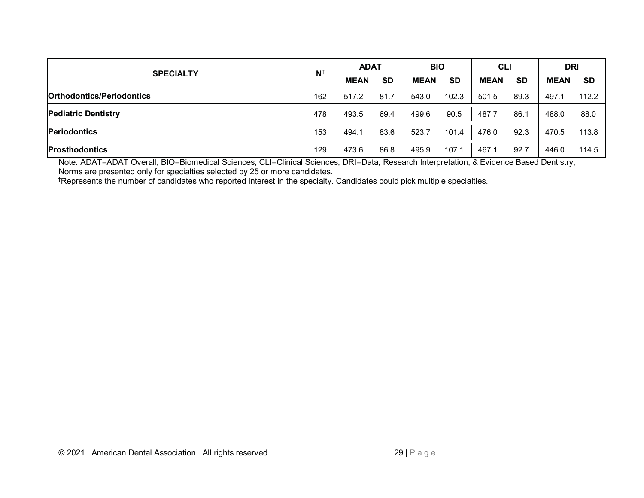| <b>SPECIALTY</b>                 | $N^{\dagger}$ | <b>ADAT</b> |           | <b>BIO</b>  |           | <b>CLI</b>  |           | <b>DRI</b>  |           |
|----------------------------------|---------------|-------------|-----------|-------------|-----------|-------------|-----------|-------------|-----------|
|                                  |               | <b>MEAN</b> | <b>SD</b> | <b>MEAN</b> | <b>SD</b> | <b>MEAN</b> | <b>SD</b> | <b>MEAN</b> | <b>SD</b> |
| <b>Orthodontics/Periodontics</b> | 162           | 517.2       | 81.7      | 543.0       | 102.3     | 501.5       | 89.3      | 497.1       | 112.2     |
| <b>Pediatric Dentistry</b>       | 478           | 493.5       | 69.4      | 499.6       | 90.5      | 487.7       | 86.1      | 488.0       | 88.0      |
| <b>Periodontics</b>              | 153           | 494.        | 83.6      | 523.7       | 101.4     | 476.0       | 92.3      | 470.5       | 113.8     |
| <b>Prosthodontics</b>            | 129           | 473.6       | 86.8      | 495.9       | 107.1     | 467.1       | 92.7      | 446.0       | 114.5     |

Note. ADAT=ADAT Overall, BIO=Biomedical Sciences; CLI=Clinical Sciences, DRI=Data, Research Interpretation, & Evidence Based Dentistry; Norms are presented only for specialties selected by 25 or more candidates.

†Represents the number of candidates who reported interest in the specialty. Candidates could pick multiple specialties.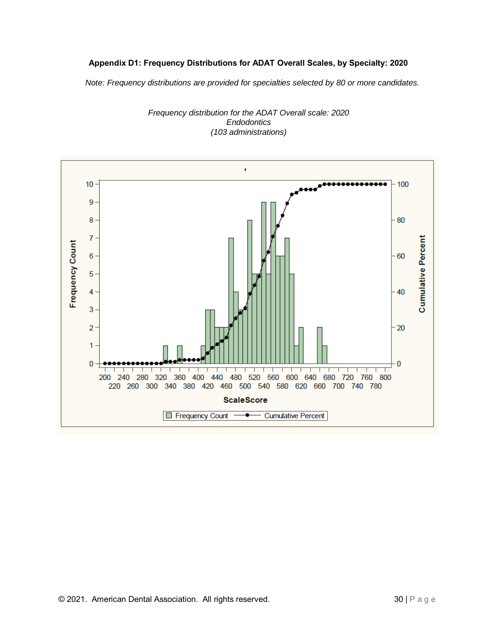#### **Appendix D1: Frequency Distributions for ADAT Overall Scales, by Specialty: 2020**

*Note: Frequency distributions are provided for specialties selected by 80 or more candidates.*



*Frequency distribution for the ADAT Overall scale: 2020 Endodontics (103 administrations)*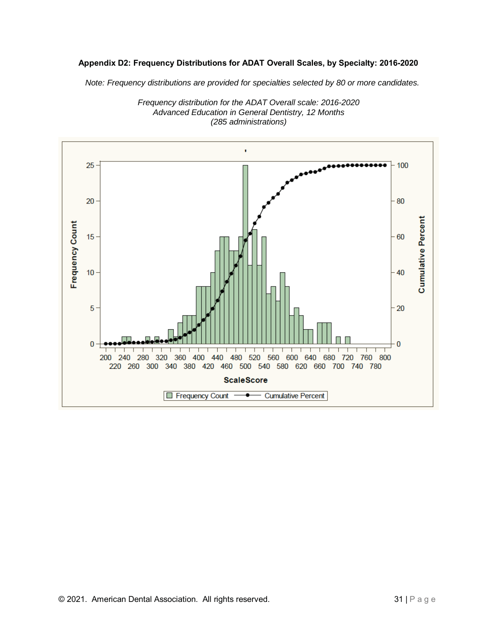#### **Appendix D2: Frequency Distributions for ADAT Overall Scales, by Specialty: 2016-2020**

*Note: Frequency distributions are provided for specialties selected by 80 or more candidates.*



*Frequency distribution for the ADAT Overall scale: 2016-2020 Advanced Education in General Dentistry, 12 Months (285 administrations)*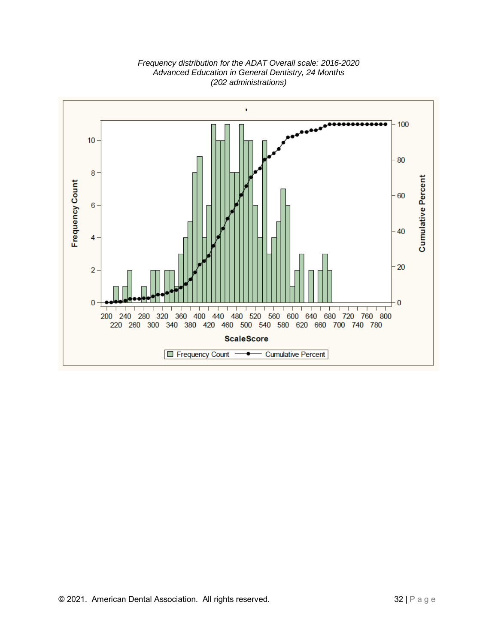

*Frequency distribution for the ADAT Overall scale: 2016-2020 Advanced Education in General Dentistry, 24 Months (202 administrations)*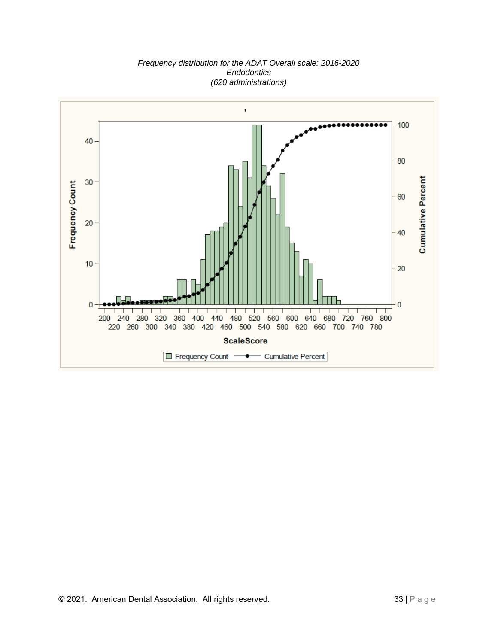

*Frequency distribution for the ADAT Overall scale: 2016-2020 Endodontics (620 administrations)*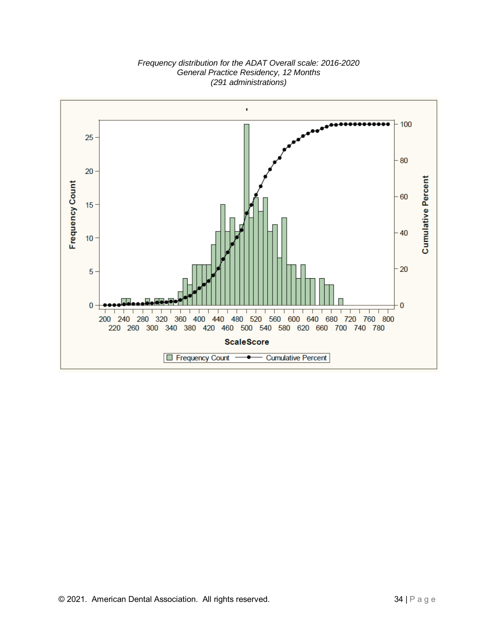

#### *Frequency distribution for the ADAT Overall scale: 2016-2020 General Practice Residency, 12 Months (291 administrations)*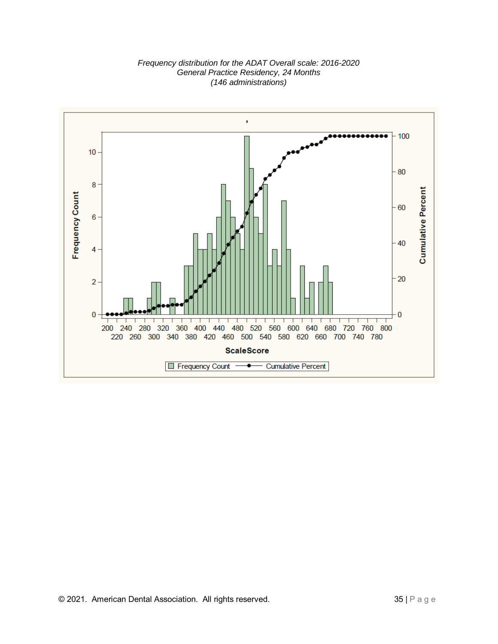

#### *Frequency distribution for the ADAT Overall scale: 2016-2020 General Practice Residency, 24 Months (146 administrations)*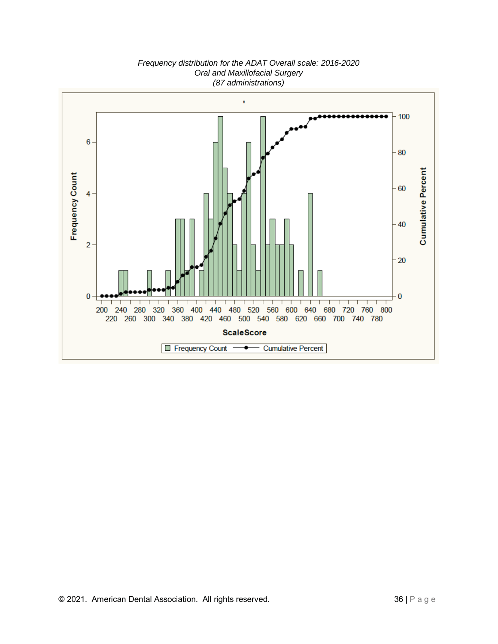

*Frequency distribution for the ADAT Overall scale: 2016-2020 Oral and Maxillofacial Surgery (87 administrations)*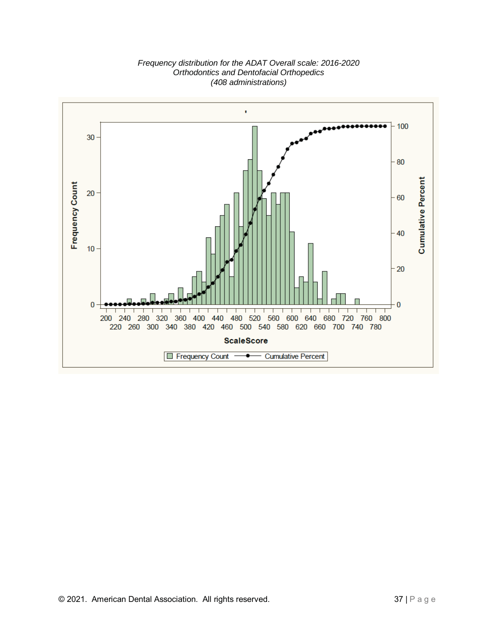

#### *Frequency distribution for the ADAT Overall scale: 2016-2020 Orthodontics and Dentofacial Orthopedics (408 administrations)*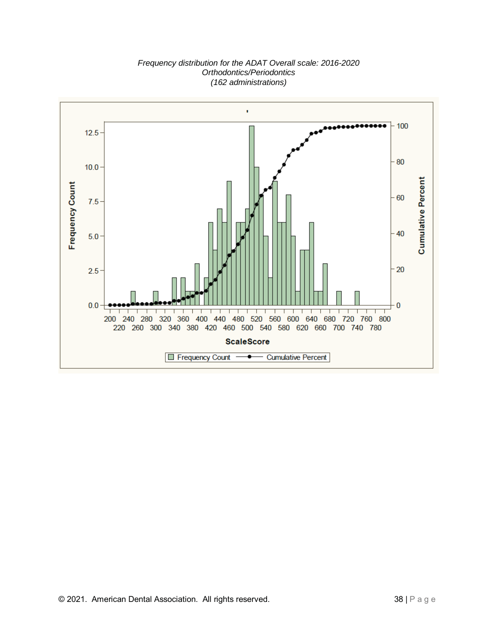

*Frequency distribution for the ADAT Overall scale: 2016-2020 Orthodontics/Periodontics (162 administrations)*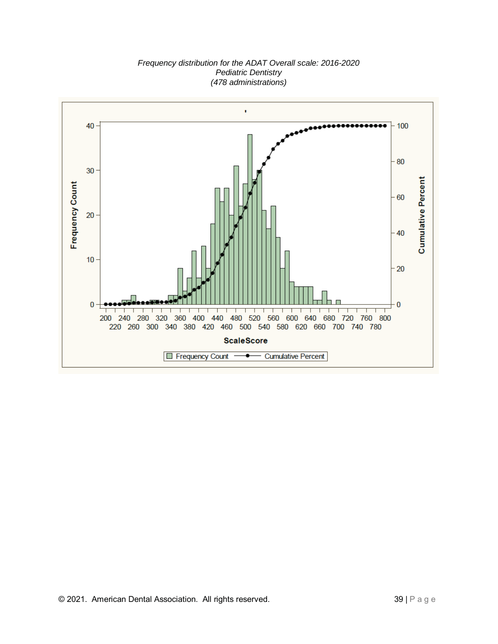

*Frequency distribution for the ADAT Overall scale: 2016-2020 Pediatric Dentistry (478 administrations)*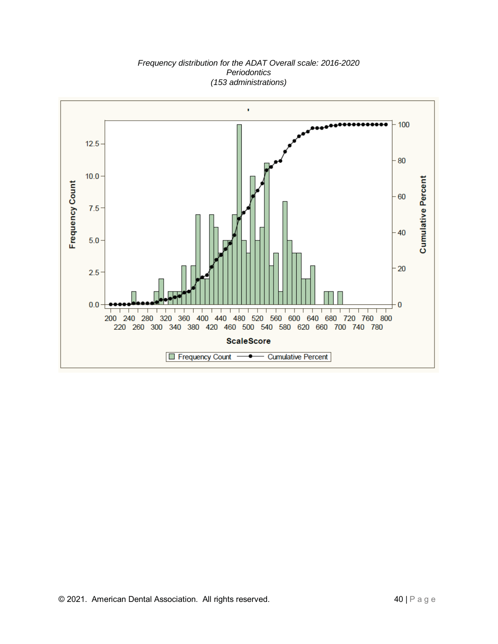

*Frequency distribution for the ADAT Overall scale: 2016-2020 Periodontics (153 administrations)*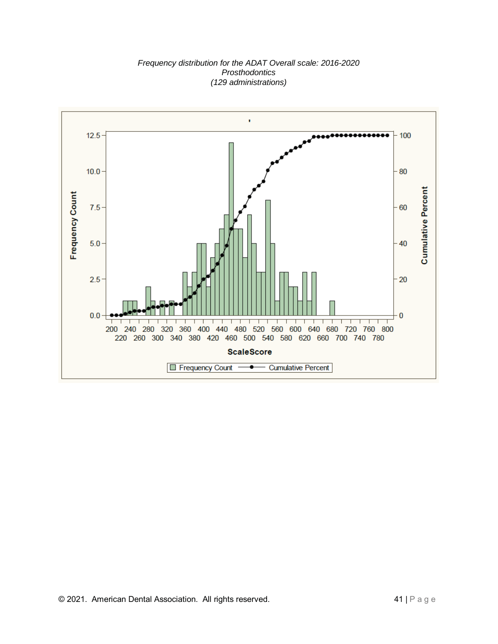

*Frequency distribution for the ADAT Overall scale: 2016-2020 Prosthodontics (129 administrations)*